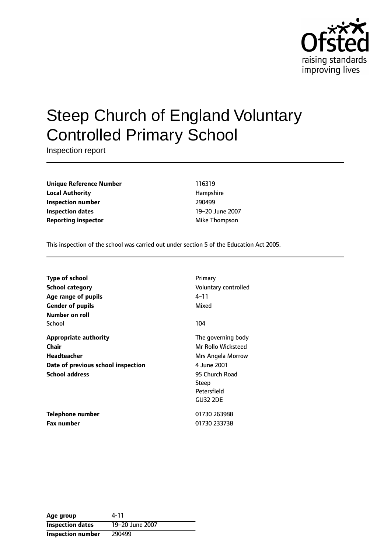

# Steep Church of England Voluntary Controlled Primary School

Inspection report

**Unique Reference Number** 116319 **Local Authority Hampshire Inspection number** 290499 **Inspection dates** 19-20 June 2007 **Reporting inspector** Mike Thompson

This inspection of the school was carried out under section 5 of the Education Act 2005.

| <b>Type of school</b><br>School category<br>Age range of pupils<br><b>Gender of pupils</b><br>Number on roll               | Primary<br>Voluntary controlled<br>4–11<br>Mixed                                                                                          |
|----------------------------------------------------------------------------------------------------------------------------|-------------------------------------------------------------------------------------------------------------------------------------------|
| School                                                                                                                     | 104                                                                                                                                       |
| <b>Appropriate authority</b><br>Chair<br><b>Headteacher</b><br>Date of previous school inspection<br><b>School address</b> | The governing body<br>Mr Rollo Wicksteed<br>Mrs Angela Morrow<br>4 June 2001<br>95 Church Road<br>Steep<br>Petersfield<br><b>GU32 2DE</b> |
| <b>Telephone number</b><br><b>Fax number</b>                                                                               | 01730 263988<br>01730 233738                                                                                                              |

| Age group                | 4-11            |
|--------------------------|-----------------|
| <b>Inspection dates</b>  | 19-20 June 2007 |
| <b>Inspection number</b> | 290499          |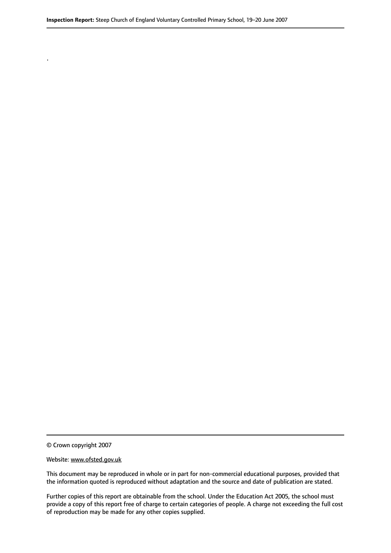© Crown copyright 2007

.

#### Website: www.ofsted.gov.uk

This document may be reproduced in whole or in part for non-commercial educational purposes, provided that the information quoted is reproduced without adaptation and the source and date of publication are stated.

Further copies of this report are obtainable from the school. Under the Education Act 2005, the school must provide a copy of this report free of charge to certain categories of people. A charge not exceeding the full cost of reproduction may be made for any other copies supplied.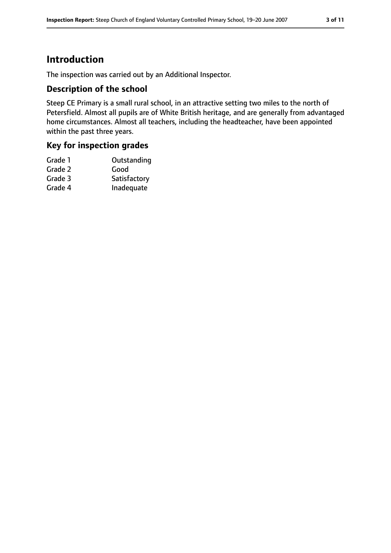# **Introduction**

The inspection was carried out by an Additional Inspector.

### **Description of the school**

Steep CE Primary is a small rural school, in an attractive setting two miles to the north of Petersfield. Almost all pupils are of White British heritage, and are generally from advantaged home circumstances. Almost all teachers, including the headteacher, have been appointed within the past three years.

### **Key for inspection grades**

| Grade 1 | Outstanding  |
|---------|--------------|
| Grade 2 | Good         |
| Grade 3 | Satisfactory |
| Grade 4 | Inadequate   |
|         |              |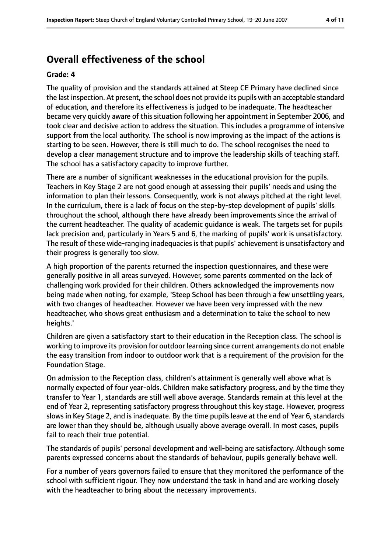# **Overall effectiveness of the school**

#### **Grade: 4**

The quality of provision and the standards attained at Steep CE Primary have declined since the last inspection. At present, the school does not provide its pupils with an acceptable standard of education, and therefore its effectiveness is judged to be inadequate. The headteacher became very quickly aware of this situation following her appointment in September 2006, and took clear and decisive action to address the situation. This includes a programme of intensive support from the local authority. The school is now improving as the impact of the actions is starting to be seen. However, there is still much to do. The school recognises the need to develop a clear management structure and to improve the leadership skills of teaching staff. The school has a satisfactory capacity to improve further.

There are a number of significant weaknesses in the educational provision for the pupils. Teachers in Key Stage 2 are not good enough at assessing their pupils' needs and using the information to plan their lessons. Consequently, work is not always pitched at the right level. In the curriculum, there is a lack of focus on the step-by-step development of pupils' skills throughout the school, although there have already been improvements since the arrival of the current headteacher. The quality of academic guidance is weak. The targets set for pupils lack precision and, particularly in Years 5 and 6, the marking of pupils' work is unsatisfactory. The result of these wide-ranging inadequacies is that pupils' achievement is unsatisfactory and their progress is generally too slow.

A high proportion of the parents returned the inspection questionnaires, and these were generally positive in all areas surveyed. However, some parents commented on the lack of challenging work provided for their children. Others acknowledged the improvements now being made when noting, for example, 'Steep School has been through a few unsettling years, with two changes of headteacher. However we have been very impressed with the new headteacher, who shows great enthusiasm and a determination to take the school to new heights.'

Children are given a satisfactory start to their education in the Reception class. The school is working to improve its provision for outdoor learning since current arrangements do not enable the easy transition from indoor to outdoor work that is a requirement of the provision for the Foundation Stage.

On admission to the Reception class, children's attainment is generally well above what is normally expected of four year-olds. Children make satisfactory progress, and by the time they transfer to Year 1, standards are still well above average. Standards remain at this level at the end of Year 2, representing satisfactory progress throughout this key stage. However, progress slows in Key Stage 2, and is inadequate. By the time pupils leave at the end of Year 6, standards are lower than they should be, although usually above average overall. In most cases, pupils fail to reach their true potential.

The standards of pupils' personal development and well-being are satisfactory. Although some parents expressed concerns about the standards of behaviour, pupils generally behave well.

For a number of years governors failed to ensure that they monitored the performance of the school with sufficient rigour. They now understand the task in hand and are working closely with the headteacher to bring about the necessary improvements.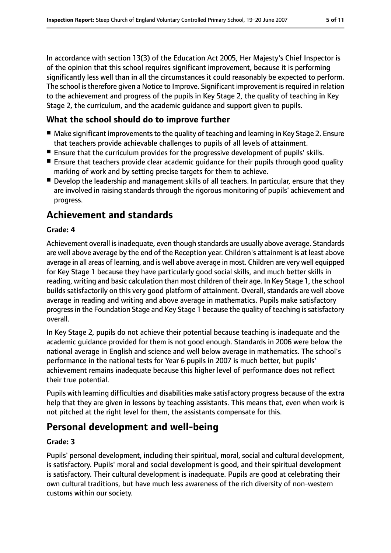In accordance with section 13(3) of the Education Act 2005, Her Majesty's Chief Inspector is of the opinion that this school requires significant improvement, because it is performing significantly less well than in all the circumstances it could reasonably be expected to perform. The school is therefore given a Notice to Improve. Significant improvement is required in relation to the achievement and progress of the pupils in Key Stage 2, the quality of teaching in Key Stage 2, the curriculum, and the academic guidance and support given to pupils.

# **What the school should do to improve further**

- Make significant improvements to the quality of teaching and learning in Key Stage 2. Ensure that teachers provide achievable challenges to pupils of all levels of attainment.
- Ensure that the curriculum provides for the progressive development of pupils' skills.
- Ensure that teachers provide clear academic quidance for their pupils through good quality marking of work and by setting precise targets for them to achieve.
- Develop the leadership and management skills of all teachers. In particular, ensure that they are involved in raising standards through the rigorous monitoring of pupils' achievement and progress.

# **Achievement and standards**

### **Grade: 4**

Achievement overall isinadequate, even though standards are usually above average. Standards are well above average by the end of the Reception year. Children's attainment is at least above average in all areas of learning, and is well above average in most. Children are very well equipped for Key Stage 1 because they have particularly good social skills, and much better skills in reading, writing and basic calculation than most children of their age. In Key Stage 1, the school builds satisfactorily on this very good platform of attainment. Overall, standards are well above average in reading and writing and above average in mathematics. Pupils make satisfactory progress in the Foundation Stage and Key Stage 1 because the quality of teaching is satisfactory overall.

In Key Stage 2, pupils do not achieve their potential because teaching is inadequate and the academic guidance provided for them is not good enough. Standards in 2006 were below the national average in English and science and well below average in mathematics. The school's performance in the national tests for Year 6 pupils in 2007 is much better, but pupils' achievement remains inadequate because this higher level of performance does not reflect their true potential.

Pupils with learning difficulties and disabilities make satisfactory progress because of the extra help that they are given in lessons by teaching assistants. This means that, even when work is not pitched at the right level for them, the assistants compensate for this.

# **Personal development and well-being**

#### **Grade: 3**

Pupils' personal development, including their spiritual, moral, social and cultural development, is satisfactory. Pupils' moral and social development is good, and their spiritual development is satisfactory. Their cultural development is inadequate. Pupils are good at celebrating their own cultural traditions, but have much less awareness of the rich diversity of non-western customs within our society.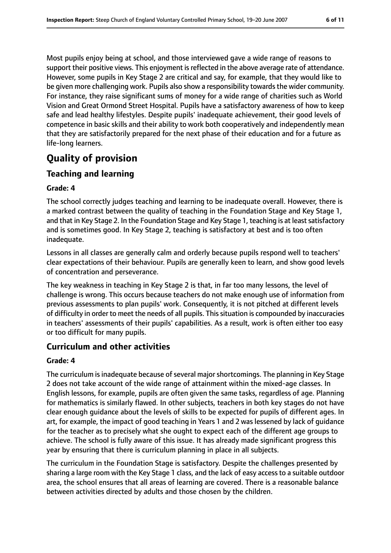Most pupils enjoy being at school, and those interviewed gave a wide range of reasons to support their positive views. This enjoyment is reflected in the above average rate of attendance. However, some pupils in Key Stage 2 are critical and say, for example, that they would like to be given more challenging work. Pupils also show a responsibility towards the wider community. For instance, they raise significant sums of money for a wide range of charities such as World Vision and Great Ormond Street Hospital. Pupils have a satisfactory awareness of how to keep safe and lead healthy lifestyles. Despite pupils' inadequate achievement, their good levels of competence in basic skills and their ability to work both cooperatively and independently mean that they are satisfactorily prepared for the next phase of their education and for a future as life-long learners.

# **Quality of provision**

# **Teaching and learning**

### **Grade: 4**

The school correctly judges teaching and learning to be inadequate overall. However, there is a marked contrast between the quality of teaching in the Foundation Stage and Key Stage 1, and that in Key Stage 2. In the Foundation Stage and Key Stage 1, teaching is at least satisfactory and is sometimes good. In Key Stage 2, teaching is satisfactory at best and is too often inadequate.

Lessons in all classes are generally calm and orderly because pupils respond well to teachers' clear expectations of their behaviour. Pupils are generally keen to learn, and show good levels of concentration and perseverance.

The key weakness in teaching in Key Stage 2 is that, in far too many lessons, the level of challenge is wrong. This occurs because teachers do not make enough use of information from previous assessments to plan pupils' work. Consequently, it is not pitched at different levels of difficulty in order to meet the needs of all pupils. This situation is compounded by inaccuracies in teachers' assessments of their pupils' capabilities. As a result, work is often either too easy or too difficult for many pupils.

### **Curriculum and other activities**

### **Grade: 4**

The curriculum is inadequate because of several major shortcomings. The planning in Key Stage 2 does not take account of the wide range of attainment within the mixed-age classes. In English lessons, for example, pupils are often given the same tasks, regardless of age. Planning for mathematics is similarly flawed. In other subjects, teachers in both key stages do not have clear enough guidance about the levels of skills to be expected for pupils of different ages. In art, for example, the impact of good teaching in Years 1 and 2 was lessened by lack of guidance for the teacher as to precisely what she ought to expect each of the different age groups to achieve. The school is fully aware of this issue. It has already made significant progress this year by ensuring that there is curriculum planning in place in all subjects.

The curriculum in the Foundation Stage is satisfactory. Despite the challenges presented by sharing a large room with the Key Stage 1 class, and the lack of easy accessto a suitable outdoor area, the school ensures that all areas of learning are covered. There is a reasonable balance between activities directed by adults and those chosen by the children.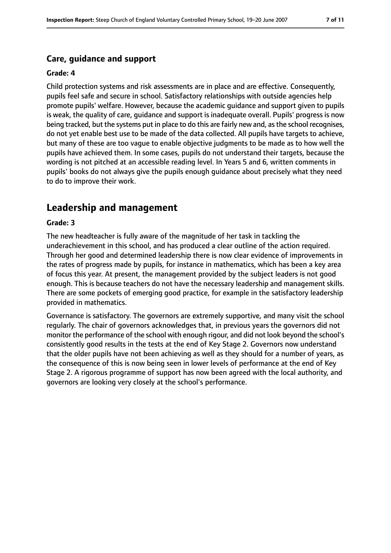### **Care, guidance and support**

#### **Grade: 4**

Child protection systems and risk assessments are in place and are effective. Consequently, pupils feel safe and secure in school. Satisfactory relationships with outside agencies help promote pupils' welfare. However, because the academic guidance and support given to pupils is weak, the quality of care, guidance and support is inadequate overall. Pupils' progress is now being tracked, but the systems put in place to do this are fairly new and, as the school recognises, do not yet enable best use to be made of the data collected. All pupils have targets to achieve, but many of these are too vague to enable objective judgments to be made as to how well the pupils have achieved them. In some cases, pupils do not understand their targets, because the wording is not pitched at an accessible reading level. In Years 5 and 6, written comments in pupils' books do not always give the pupils enough guidance about precisely what they need to do to improve their work.

# **Leadership and management**

#### **Grade: 3**

The new headteacher is fully aware of the magnitude of her task in tackling the underachievement in this school, and has produced a clear outline of the action required. Through her good and determined leadership there is now clear evidence of improvements in the rates of progress made by pupils, for instance in mathematics, which has been a key area of focus this year. At present, the management provided by the subject leaders is not good enough. This is because teachers do not have the necessary leadership and management skills. There are some pockets of emerging good practice, for example in the satisfactory leadership provided in mathematics.

Governance is satisfactory. The governors are extremely supportive, and many visit the school regularly. The chair of governors acknowledges that, in previous years the governors did not monitor the performance of the school with enough rigour, and did not look beyond the school's consistently good results in the tests at the end of Key Stage 2. Governors now understand that the older pupils have not been achieving as well as they should for a number of years, as the consequence of this is now being seen in lower levels of performance at the end of Key Stage 2. A rigorous programme of support has now been agreed with the local authority, and governors are looking very closely at the school's performance.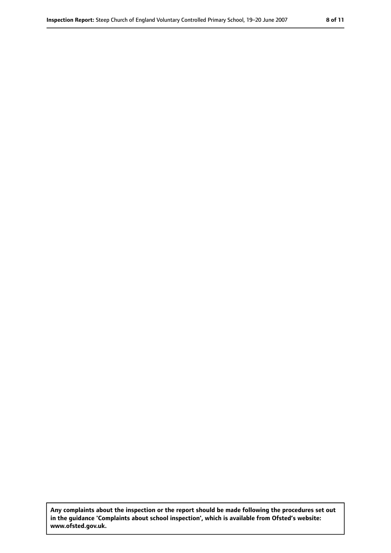**Any complaints about the inspection or the report should be made following the procedures set out in the guidance 'Complaints about school inspection', which is available from Ofsted's website: www.ofsted.gov.uk.**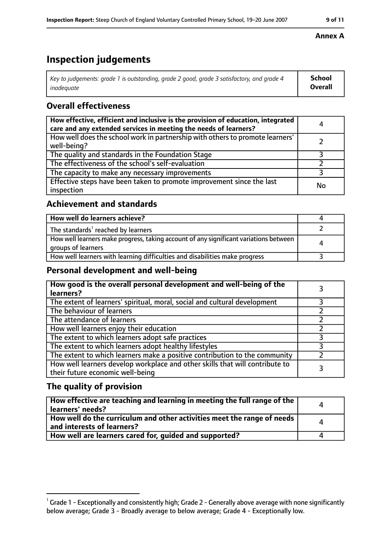# **Inspection judgements**

| $^\dagger$ Key to judgements: grade 1 is outstanding, grade 2 good, grade 3 satisfactory, and grade 4 | <b>School</b>  |
|-------------------------------------------------------------------------------------------------------|----------------|
| inadeauate                                                                                            | <b>Overall</b> |

# **Overall effectiveness**

| How effective, efficient and inclusive is the provision of education, integrated<br>care and any extended services in meeting the needs of learners? | 4  |
|------------------------------------------------------------------------------------------------------------------------------------------------------|----|
| How well does the school work in partnership with others to promote learners'<br>well-being?                                                         |    |
| The quality and standards in the Foundation Stage                                                                                                    |    |
| The effectiveness of the school's self-evaluation                                                                                                    |    |
| The capacity to make any necessary improvements                                                                                                      |    |
| Effective steps have been taken to promote improvement since the last<br>inspection                                                                  | No |

# **Achievement and standards**

| How well do learners achieve?                                                                               |  |
|-------------------------------------------------------------------------------------------------------------|--|
| The standards <sup>1</sup> reached by learners                                                              |  |
| How well learners make progress, taking account of any significant variations between<br>groups of learners |  |
| How well learners with learning difficulties and disabilities make progress                                 |  |

# **Personal development and well-being**

| How good is the overall personal development and well-being of the<br>learners?                                  |  |
|------------------------------------------------------------------------------------------------------------------|--|
| The extent of learners' spiritual, moral, social and cultural development                                        |  |
| The behaviour of learners                                                                                        |  |
| The attendance of learners                                                                                       |  |
| How well learners enjoy their education                                                                          |  |
| The extent to which learners adopt safe practices                                                                |  |
| The extent to which learners adopt healthy lifestyles                                                            |  |
| The extent to which learners make a positive contribution to the community                                       |  |
| How well learners develop workplace and other skills that will contribute to<br>their future economic well-being |  |

# **The quality of provision**

| How effective are teaching and learning in meeting the full range of the<br>learners' needs?          | $\Delta$ |
|-------------------------------------------------------------------------------------------------------|----------|
| How well do the curriculum and other activities meet the range of needs<br>and interests of learners? | Δ        |
| How well are learners cared for, quided and supported?                                                |          |

### **Annex A**

 $^1$  Grade 1 - Exceptionally and consistently high; Grade 2 - Generally above average with none significantly below average; Grade 3 - Broadly average to below average; Grade 4 - Exceptionally low.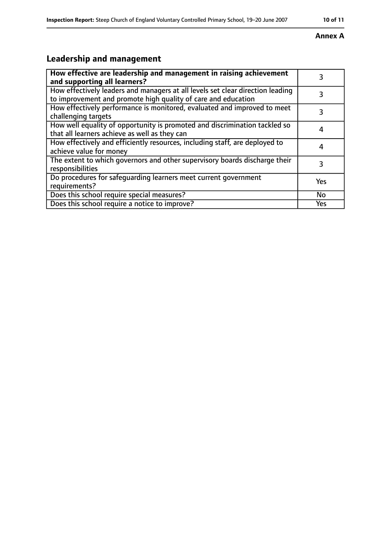#### **Inspection Report:** Steep Church of England Voluntary Controlled Primary School, 19-20 June 2007 **10 11**

### **Annex A**

# **Leadership and management**

| How effective are leadership and management in raising achievement<br>and supporting all learners?                                              | 3   |
|-------------------------------------------------------------------------------------------------------------------------------------------------|-----|
| How effectively leaders and managers at all levels set clear direction leading<br>to improvement and promote high quality of care and education |     |
| How effectively performance is monitored, evaluated and improved to meet<br>challenging targets                                                 | 3   |
| How well equality of opportunity is promoted and discrimination tackled so<br>that all learners achieve as well as they can                     |     |
| How effectively and efficiently resources, including staff, are deployed to<br>achieve value for money                                          | 4   |
| The extent to which governors and other supervisory boards discharge their<br>responsibilities                                                  | 3   |
| Do procedures for safequarding learners meet current government<br>requirements?                                                                | Yes |
| Does this school require special measures?                                                                                                      | No  |
| Does this school require a notice to improve?                                                                                                   | Yes |